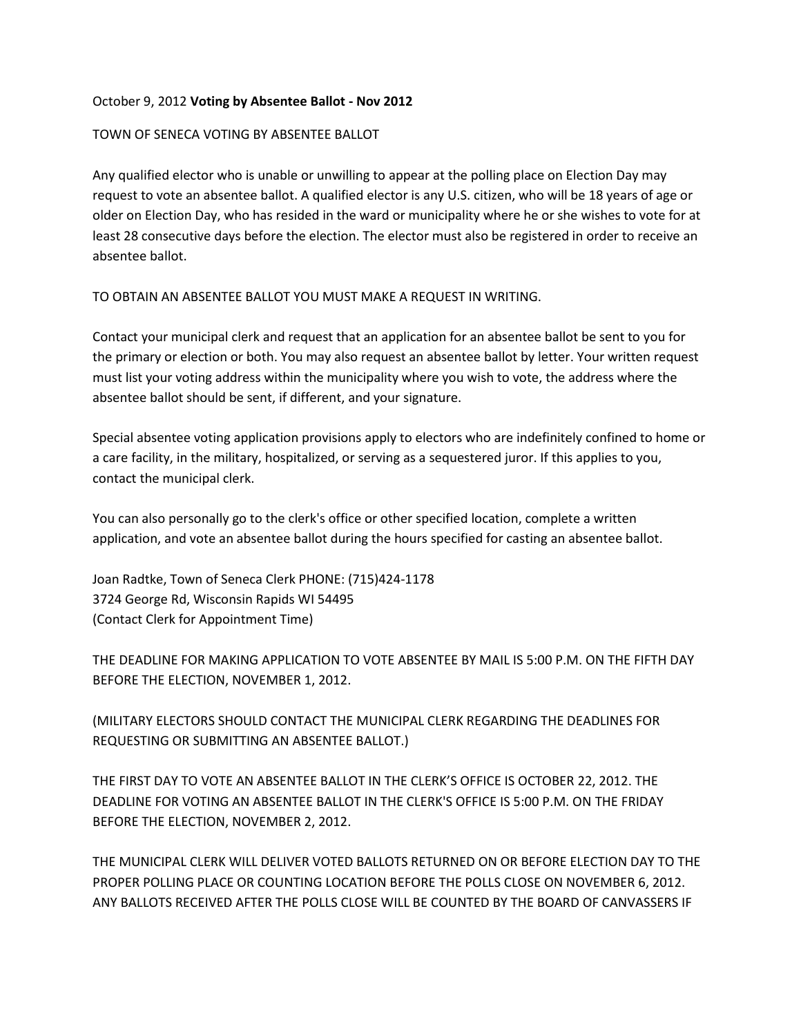## October 9, 2012 **Voting by Absentee Ballot - Nov 2012**

## TOWN OF SENECA VOTING BY ABSENTEE BALLOT

Any qualified elector who is unable or unwilling to appear at the polling place on Election Day may request to vote an absentee ballot. A qualified elector is any U.S. citizen, who will be 18 years of age or older on Election Day, who has resided in the ward or municipality where he or she wishes to vote for at least 28 consecutive days before the election. The elector must also be registered in order to receive an absentee ballot.

TO OBTAIN AN ABSENTEE BALLOT YOU MUST MAKE A REQUEST IN WRITING.

Contact your municipal clerk and request that an application for an absentee ballot be sent to you for the primary or election or both. You may also request an absentee ballot by letter. Your written request must list your voting address within the municipality where you wish to vote, the address where the absentee ballot should be sent, if different, and your signature.

Special absentee voting application provisions apply to electors who are indefinitely confined to home or a care facility, in the military, hospitalized, or serving as a sequestered juror. If this applies to you, contact the municipal clerk.

You can also personally go to the clerk's office or other specified location, complete a written application, and vote an absentee ballot during the hours specified for casting an absentee ballot.

Joan Radtke, Town of Seneca Clerk PHONE: (715)424-1178 3724 George Rd, Wisconsin Rapids WI 54495 (Contact Clerk for Appointment Time)

THE DEADLINE FOR MAKING APPLICATION TO VOTE ABSENTEE BY MAIL IS 5:00 P.M. ON THE FIFTH DAY BEFORE THE ELECTION, NOVEMBER 1, 2012.

(MILITARY ELECTORS SHOULD CONTACT THE MUNICIPAL CLERK REGARDING THE DEADLINES FOR REQUESTING OR SUBMITTING AN ABSENTEE BALLOT.)

THE FIRST DAY TO VOTE AN ABSENTEE BALLOT IN THE CLERK'S OFFICE IS OCTOBER 22, 2012. THE DEADLINE FOR VOTING AN ABSENTEE BALLOT IN THE CLERK'S OFFICE IS 5:00 P.M. ON THE FRIDAY BEFORE THE ELECTION, NOVEMBER 2, 2012.

THE MUNICIPAL CLERK WILL DELIVER VOTED BALLOTS RETURNED ON OR BEFORE ELECTION DAY TO THE PROPER POLLING PLACE OR COUNTING LOCATION BEFORE THE POLLS CLOSE ON NOVEMBER 6, 2012. ANY BALLOTS RECEIVED AFTER THE POLLS CLOSE WILL BE COUNTED BY THE BOARD OF CANVASSERS IF